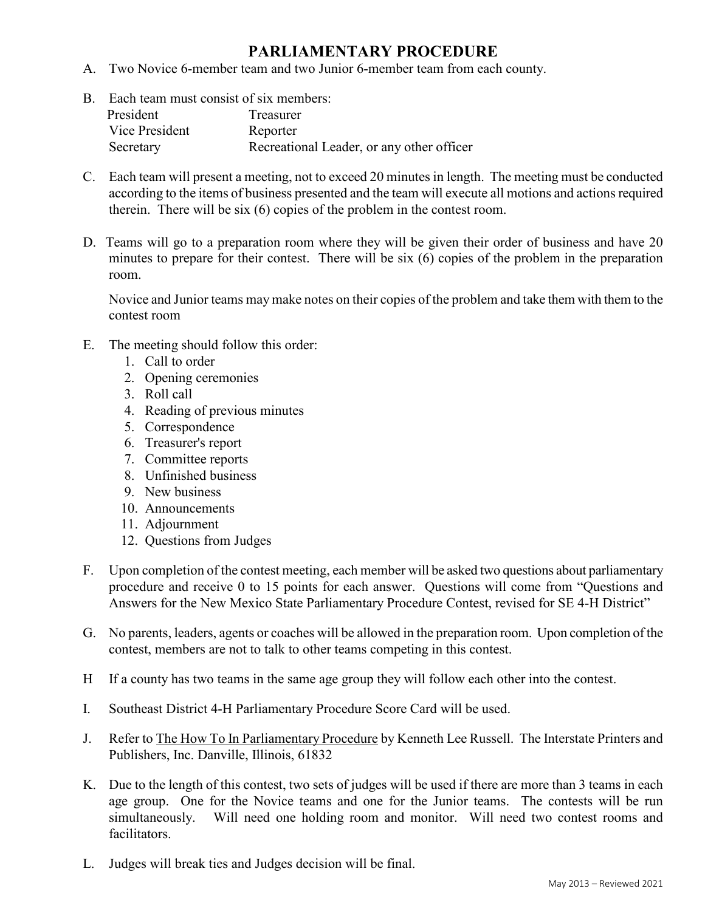## **PARLIAMENTARY PROCEDURE**

- A. Two Novice 6-member team and two Junior 6-member team from each county.
- B. Each team must consist of six members: President Treasurer Vice President Reporter Secretary Recreational Leader, or any other officer
- C. Each team will present a meeting, not to exceed 20 minutes in length. The meeting must be conducted according to the items of business presented and the team will execute all motions and actions required therein. There will be six (6) copies of the problem in the contest room.
- D. Teams will go to a preparation room where they will be given their order of business and have 20 minutes to prepare for their contest. There will be six (6) copies of the problem in the preparation room.

Novice and Junior teams may make notes on their copies of the problem and take them with them to the contest room

- E. The meeting should follow this order:
	- 1. Call to order
	- 2. Opening ceremonies
	- 3. Roll call
	- 4. Reading of previous minutes
	- 5. Correspondence
	- 6. Treasurer's report
	- 7. Committee reports
	- 8. Unfinished business
	- 9. New business
	- 10. Announcements
	- 11. Adjournment
	- 12. Questions from Judges
- F. Upon completion of the contest meeting, each member will be asked two questions about parliamentary procedure and receive 0 to 15 points for each answer. Questions will come from "Questions and Answers for the New Mexico State Parliamentary Procedure Contest, revised for SE 4-H District"
- G. No parents, leaders, agents or coaches will be allowed in the preparation room. Upon completion of the contest, members are not to talk to other teams competing in this contest.
- H If a county has two teams in the same age group they will follow each other into the contest.
- I. Southeast District 4-H Parliamentary Procedure Score Card will be used.
- J. Refer to The How To In Parliamentary Procedure by Kenneth Lee Russell. The Interstate Printers and Publishers, Inc. Danville, Illinois, 61832
- K. Due to the length of this contest, two sets of judges will be used if there are more than 3 teams in each age group. One for the Novice teams and one for the Junior teams. The contests will be run simultaneously. Will need one holding room and monitor. Will need two contest rooms and facilitators.
- L. Judges will break ties and Judges decision will be final.